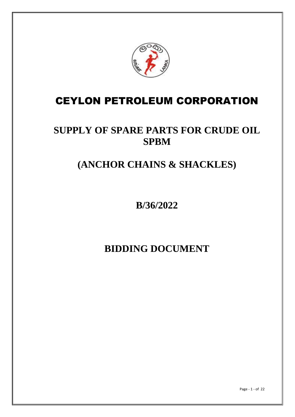

# CEYLON PETROLEUM CORPORATION

# **SUPPLY OF SPARE PARTS FOR CRUDE OIL SPBM**

# **(ANCHOR CHAINS & SHACKLES)**

**B/36/2022**

**BIDDING DOCUMENT**

Page - 1 - of 22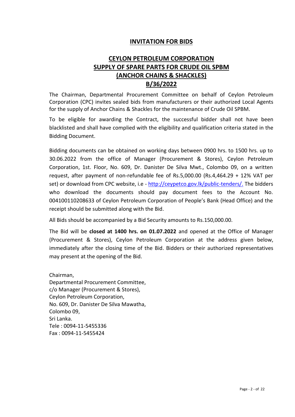#### **INVITATION FOR BIDS**

# **CEYLON PETROLEUM CORPORATION SUPPLY OF SPARE PARTS FOR CRUDE OIL SPBM (ANCHOR CHAINS & SHACKLES) B/36/2022**

The Chairman, Departmental Procurement Committee on behalf of Ceylon Petroleum Corporation (CPC) invites sealed bids from manufacturers or their authorized Local Agents for the supply of Anchor Chains & Shackles for the maintenance of Crude Oil SPBM.

To be eligible for awarding the Contract, the successful bidder shall not have been blacklisted and shall have complied with the eligibility and qualification criteria stated in the Bidding Document.

Bidding documents can be obtained on working days between 0900 hrs. to 1500 hrs. up to 30.06.2022 from the office of Manager (Procurement & Stores), Ceylon Petroleum Corporation, 1st. Floor, No. 609, Dr. Danister De Silva Mwt., Colombo 09, on a written request, after payment of non-refundable fee of Rs.5,000.00 (Rs.4,464.29 + 12% VAT per set) or download from CPC website, i.e - [http://ceypetco.gov.lk/public-tenders/.](http://ceypetco.gov.lk/public-tenders/) The bidders who download the documents should pay document fees to the Account No. 004100110208633 of Ceylon Petroleum Corporation of People's Bank (Head Office) and the receipt should be submitted along with the Bid.

All Bids should be accompanied by a Bid Security amounts to Rs.150,000.00.

The Bid will be **closed at 1400 hrs. on 01.07.2022** and opened at the Office of Manager (Procurement & Stores), Ceylon Petroleum Corporation at the address given below, immediately after the closing time of the Bid. Bidders or their authorized representatives may present at the opening of the Bid.

Chairman, Departmental Procurement Committee, c/o Manager (Procurement & Stores), Ceylon Petroleum Corporation, No. 609, Dr. Danister De Silva Mawatha, Colombo 09, Sri Lanka. Tele : 0094-11-5455336 Fax : 0094-11-5455424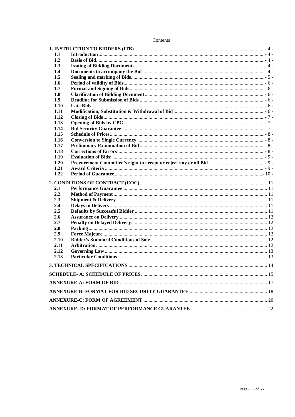| 1.1  |  |
|------|--|
| 1.2  |  |
| 1.3  |  |
| 1.4  |  |
| 1.5  |  |
| 1.6  |  |
| 1.7  |  |
| 1.8  |  |
| 1.9  |  |
| 1.10 |  |
| 1.11 |  |
| 1.12 |  |
| 1.13 |  |
| 1.14 |  |
| 1.15 |  |
| 1.16 |  |
| 1.17 |  |
| 1.18 |  |
| 1.19 |  |
| 1.20 |  |
| 1.21 |  |
| 1.22 |  |
|      |  |
| 2.1  |  |
| 2.2  |  |
| 2.3  |  |
| 2.4  |  |
| 2.5  |  |
| 2.6  |  |
| 2.7  |  |
| 2.8  |  |
| 2.9  |  |
| 2.10 |  |
| 2.11 |  |
| 2.12 |  |
| 2.13 |  |
|      |  |
|      |  |
|      |  |
|      |  |
|      |  |
|      |  |
|      |  |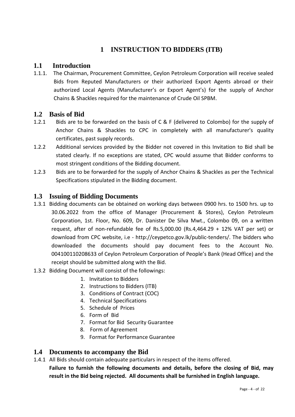# **1 INSTRUCTION TO BIDDERS (ITB)**

#### <span id="page-3-1"></span><span id="page-3-0"></span>**1.1 Introduction**

1.1.1. The Chairman, Procurement Committee, Ceylon Petroleum Corporation will receive sealed Bids from Reputed Manufacturers or their authorized Export Agents abroad or their authorized Local Agents (Manufacturer's or Export Agent's) for the supply of Anchor Chains & Shackles required for the maintenance of Crude Oil SPBM.

#### <span id="page-3-2"></span>**1.2 Basis of Bid**

- 1.2.1 Bids are to be forwarded on the basis of C & F (delivered to Colombo) for the supply of Anchor Chains & Shackles to CPC in completely with all manufacturer's quality certificates, past supply records.
- 1.2.2 Additional services provided by the Bidder not covered in this Invitation to Bid shall be stated clearly. If no exceptions are stated, CPC would assume that Bidder conforms to most stringent conditions of the Bidding document.
- 1.2.3 Bids are to be forwarded for the supply of Anchor Chains & Shackles as per the Technical Specifications stipulated in the Bidding document.

#### <span id="page-3-3"></span>**1.3 Issuing of Bidding Documents**

- 1.3.1 Bidding documents can be obtained on working days between 0900 hrs. to 1500 hrs. up to 30.06.2022 from the office of Manager (Procurement & Stores), Ceylon Petroleum Corporation, 1st. Floor, No. 609, Dr. Danister De Silva Mwt., Colombo 09, on a written request, after of non-refundable fee of Rs.5,000.00 (Rs.4,464.29 + 12% VAT per set) or download from CPC website, i.e - [http://ceypetco.gov.lk/public-tenders/.](http://ceypetco.gov.lk/public-tenders/) The bidders who downloaded the documents should pay document fees to the Account No. 004100110208633 of Ceylon Petroleum Corporation of People's Bank (Head Office) and the receipt should be submitted along with the Bid.
- 1.3.2 Bidding Document will consist of the followings:
	- 1. Invitation to Bidders
	- 2. Instructions to Bidders (ITB)
	- 3. Conditions of Contract (COC)
	- 4. Technical Specifications
	- 5. Schedule of Prices
	- 6. Form of Bid
	- 7. Format for Bid Security Guarantee
	- 8. Form of Agreement
	- 9. Format for Performance Guarantee

#### <span id="page-3-4"></span>**1.4 Documents to accompany the Bid**

1.4.1 All Bids should contain adequate particulars in respect of the items offered.

**Failure to furnish the following documents and details, before the closing of Bid, may result in the Bid being rejected. All documents shall be furnished in English language.**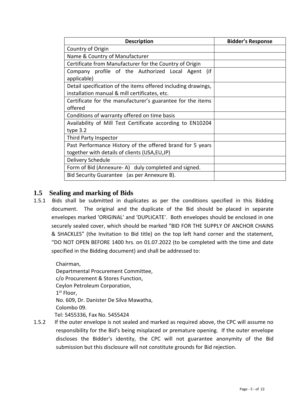| <b>Description</b>                                                                                             | <b>Bidder's Response</b> |
|----------------------------------------------------------------------------------------------------------------|--------------------------|
| Country of Origin                                                                                              |                          |
| Name & Country of Manufacturer                                                                                 |                          |
| Certificate from Manufacturer for the Country of Origin                                                        |                          |
| Company profile of the Authorized Local Agent<br>(if<br>applicable)                                            |                          |
| Detail specification of the items offered including drawings,<br>installation manual & mill certificates, etc. |                          |
| Certificate for the manufacturer's guarantee for the items<br>offered                                          |                          |
| Conditions of warranty offered on time basis                                                                   |                          |
| Availability of Mill Test Certificate according to EN10204<br>type $3.2$                                       |                          |
| Third Party Inspector                                                                                          |                          |
| Past Performance History of the offered brand for 5 years<br>together with details of clients (USA, EU, JP)    |                          |
| Delivery Schedule                                                                                              |                          |
| Form of Bid (Annexure-A) duly completed and signed.                                                            |                          |
| Bid Security Guarantee (as per Annexure B).                                                                    |                          |

## <span id="page-4-0"></span>**1.5 Sealing and marking of Bids**

1.5.1 Bids shall be submitted in duplicates as per the conditions specified in this Bidding document. The original and the duplicate of the Bid should be placed in separate envelopes marked 'ORIGINAL' and 'DUPLICATE'. Both envelopes should be enclosed in one securely sealed cover, which should be marked "BID FOR THE SUPPLY OF ANCHOR CHAINS & SHACKLES" (the Invitation to Bid title) on the top left hand corner and the statement, "DO NOT OPEN BEFORE 1400 hrs. on 01.07.2022 (to be completed with the time and date specified in the Bidding document) and shall be addressed to:

Chairman, Departmental Procurement Committee, c/o Procurement & Stores Function, Ceylon Petroleum Corporation, 1 st Floor, No. 609, Dr. Danister De Silva Mawatha, Colombo 09. Tel: 5455336, Fax No. 5455424

1.5.2 If the outer envelope is not sealed and marked as required above, the CPC will assume no responsibility for the Bid's being misplaced or premature opening. If the outer envelope discloses the Bidder's identity, the CPC will not guarantee anonymity of the Bid submission but this disclosure will not constitute grounds for Bid rejection.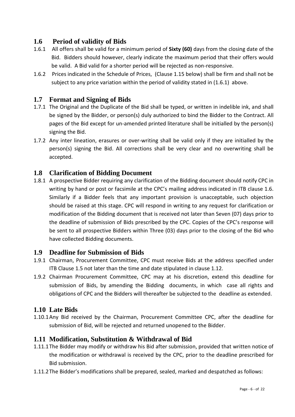# <span id="page-5-0"></span>**1.6 Period of validity of Bids**

- 1.6.1 All offers shall be valid for a minimum period of **Sixty (60)** days from the closing date of the Bid. Bidders should however, clearly indicate the maximum period that their offers would be valid. A Bid valid for a shorter period will be rejected as non-responsive.
- 1.6.2 Prices indicated in the Schedule of Prices, (Clause 1.15 below) shall be firm and shall not be subject to any price variation within the period of validity stated in (1.6.1) above.

## <span id="page-5-1"></span>**1.7 Format and Signing of Bids**

- 1.7.1 The Original and the Duplicate of the Bid shall be typed, or written in indelible ink, and shall be signed by the Bidder, or person(s) duly authorized to bind the Bidder to the Contract. All pages of the Bid except for un-amended printed literature shall be initialled by the person(s) signing the Bid.
- 1.7.2 Any inter lineation, erasures or over-writing shall be valid only if they are initialled by the person(s) signing the Bid. All corrections shall be very clear and no overwriting shall be accepted.

#### <span id="page-5-2"></span>**1.8 Clarification of Bidding Document**

1.8.1 A prospective Bidder requiring any clarification of the Bidding document should notify CPC in writing by hand or post or facsimile at the CPC's mailing address indicated in ITB clause 1.6. Similarly if a Bidder feels that any important provision is unacceptable, such objection should be raised at this stage. CPC will respond in writing to any request for clarification or modification of the Bidding document that is received not later than Seven (07) days prior to the deadline of submission of Bids prescribed by the CPC. Copies of the CPC's response will be sent to all prospective Bidders within Three (03) days prior to the closing of the Bid who have collected Bidding documents.

#### <span id="page-5-3"></span>**1.9 Deadline for Submission of Bids**

- 1.9.1 Chairman, Procurement Committee, CPC must receive Bids at the address specified under ITB Clause 1.5 not later than the time and date stipulated in clause 1.12.
- 1.9.2 Chairman Procurement Committee, CPC may at his discretion, extend this deadline for submission of Bids, by amending the Bidding documents, in which case all rights and obligations of CPC and the Bidders will thereafter be subjected to the deadline as extended.

#### <span id="page-5-4"></span>**1.10 Late Bids**

1.10.1Any Bid received by the Chairman, Procurement Committee CPC, after the deadline for submission of Bid, will be rejected and returned unopened to the Bidder.

#### <span id="page-5-5"></span>**1.11 Modification, Substitution & Withdrawal of Bid**

- 1.11.1The Bidder may modify or withdraw his Bid after submission, provided that written notice of the modification or withdrawal is received by the CPC, prior to the deadline prescribed for Bid submission.
- 1.11.2The Bidder's modifications shall be prepared, sealed, marked and despatched as follows: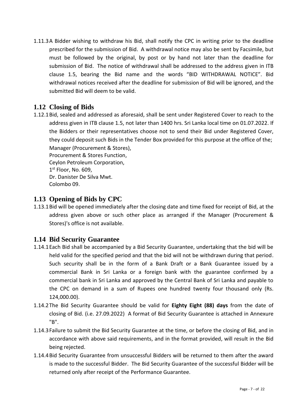1.11.3A Bidder wishing to withdraw his Bid, shall notify the CPC in writing prior to the deadline prescribed for the submission of Bid. A withdrawal notice may also be sent by Facsimile, but must be followed by the original, by post or by hand not later than the deadline for submission of Bid. The notice of withdrawal shall be addressed to the address given in ITB clause 1.5, bearing the Bid name and the words "BID WITHDRAWAL NOTICE". Bid withdrawal notices received after the deadline for submission of Bid will be ignored, and the submitted Bid will deem to be valid.

# <span id="page-6-0"></span>**1.12 Closing of Bids**

1.12.1Bid, sealed and addressed as aforesaid, shall be sent under Registered Cover to reach to the address given in ITB clause 1.5, not later than 1400 hrs. Sri Lanka local time on 01.07.2022. If the Bidders or their representatives choose not to send their Bid under Registered Cover, they could deposit such Bids in the Tender Box provided for this purpose at the office of the; Manager (Procurement & Stores),

Procurement & Stores Function, Ceylon Petroleum Corporation, 1 st Floor, No. 609, Dr. Danister De Silva Mwt. Colombo 09.

## <span id="page-6-1"></span>**1.13 Opening of Bids by CPC**

1.13.1Bid will be opened immediately after the closing date and time fixed for receipt of Bid, at the address given above or such other place as arranged if the Manager (Procurement & Stores)'s office is not available.

# <span id="page-6-2"></span>**1.14 Bid Security Guarantee**

- 1.14.1Each Bid shall be accompanied by a Bid Security Guarantee, undertaking that the bid will be held valid for the specified period and that the bid will not be withdrawn during that period. Such security shall be in the form of a Bank Draft or a Bank Guarantee issued by a commercial Bank in Sri Lanka or a foreign bank with the guarantee confirmed by a commercial bank in Sri Lanka and approved by the Central Bank of Sri Lanka and payable to the CPC on demand in a sum of Rupees one hundred twenty four thousand only (Rs. 124,000.00).
- 1.14.2The Bid Security Guarantee should be valid for **Eighty Eight (88) days** from the date of closing of Bid. (i.e. 27.09.2022) A format of Bid Security Guarantee is attached in Annexure "B".
- 1.14.3Failure to submit the Bid Security Guarantee at the time, or before the closing of Bid, and in accordance with above said requirements, and in the format provided, will result in the Bid being rejected.
- 1.14.4Bid Security Guarantee from unsuccessful Bidders will be returned to them after the award is made to the successful Bidder. The Bid Security Guarantee of the successful Bidder will be returned only after receipt of the Performance Guarantee.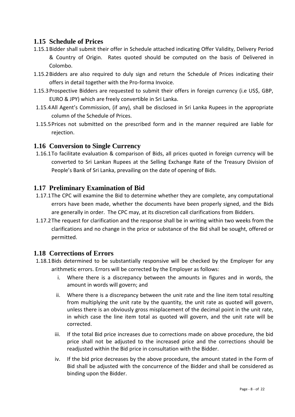## <span id="page-7-0"></span>**1.15 Schedule of Prices**

- 1.15.1Bidder shall submit their offer in Schedule attached indicating Offer Validity, Delivery Period & Country of Origin. Rates quoted should be computed on the basis of Delivered in Colombo.
- 1.15.2Bidders are also required to duly sign and return the Schedule of Prices indicating their offers in detail together with the Pro-forma Invoice.
- 1.15.3Prospective Bidders are requested to submit their offers in foreign currency (i.e US\$, GBP, EURO & JPY) which are freely convertible in Sri Lanka.
- 1.15.4All Agent's Commission, (if any), shall be disclosed in Sri Lanka Rupees in the appropriate column of the Schedule of Prices.
- 1.15.5Prices not submitted on the prescribed form and in the manner required are liable for rejection.

#### <span id="page-7-1"></span>**1.16 Conversion to Single Currency**

1.16.1To facilitate evaluation & comparison of Bids, all prices quoted in foreign currency will be converted to Sri Lankan Rupees at the Selling Exchange Rate of the Treasury Division of People's Bank of Sri Lanka, prevailing on the date of opening of Bids.

#### <span id="page-7-2"></span>**1.17 Preliminary Examination of Bid**

- 1.17.1The CPC will examine the Bid to determine whether they are complete, any computational errors have been made, whether the documents have been properly signed, and the Bids are generally in order. The CPC may, at its discretion call clarifications from Bidders.
- 1.17.2The request for clarification and the response shall be in writing within two weeks from the clarifications and no change in the price or substance of the Bid shall be sought, offered or permitted.

#### <span id="page-7-3"></span>**1.18 Corrections of Errors**

- 1.18.1Bids determined to be substantially responsive will be checked by the Employer for any arithmetic errors. Errors will be corrected by the Employer as follows:
	- i. Where there is a discrepancy between the amounts in figures and in words, the amount in words will govern; and
	- ii. Where there is a discrepancy between the unit rate and the line item total resulting from multiplying the unit rate by the quantity, the unit rate as quoted will govern, unless there is an obviously gross misplacement of the decimal point in the unit rate, in which case the line item total as quoted will govern, and the unit rate will be corrected.
	- iii. If the total Bid price increases due to corrections made on above procedure, the bid price shall not be adjusted to the increased price and the corrections should be readjusted within the Bid price in consultation with the Bidder.
	- iv. If the bid price decreases by the above procedure, the amount stated in the Form of Bid shall be adjusted with the concurrence of the Bidder and shall be considered as binding upon the Bidder.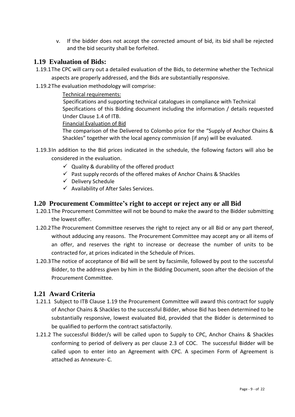v. If the bidder does not accept the corrected amount of bid, its bid shall be rejected and the bid security shall be forfeited.

#### <span id="page-8-0"></span>**1.19 Evaluation of Bids:**

1.19.1The CPC will carry out a detailed evaluation of the Bids, to determine whether the Technical

aspects are properly addressed, and the Bids are substantially responsive.

1.19.2The evaluation methodology will comprise:

#### Technical requirements:

Specifications and supporting technical catalogues in compliance with Technical Specifications of this Bidding document including the information / details requested Under Clause 1.4 of ITB.

Financial Evaluation of Bid

The comparison of the Delivered to Colombo price for the "Supply of Anchor Chains & Shackles" together with the local agency commission (if any) will be evaluated.

- 1.19.3In addition to the Bid prices indicated in the schedule, the following factors will also be considered in the evaluation.
	- $\checkmark$  Quality & durability of the offered product
	- $\checkmark$  Past supply records of the offered makes of Anchor Chains & Shackles
	- $\checkmark$  Delivery Schedule
	- $\checkmark$  Availability of After Sales Services.

#### <span id="page-8-1"></span>**1.20 Procurement Committee's right to accept or reject any or all Bid**

- 1.20.1The Procurement Committee will not be bound to make the award to the Bidder submitting the lowest offer.
- 1.20.2The Procurement Committee reserves the right to reject any or all Bid or any part thereof, without adducing any reasons. The Procurement Committee may accept any or all items of an offer, and reserves the right to increase or decrease the number of units to be contracted for, at prices indicated in the Schedule of Prices.
- 1.20.3The notice of acceptance of Bid will be sent by facsimile, followed by post to the successful Bidder, to the address given by him in the Bidding Document, soon after the decision of the Procurement Committee.

#### <span id="page-8-2"></span>**1.21 Award Criteria**

- 1.21.1 Subject to ITB Clause 1.19 the Procurement Committee will award this contract for supply of Anchor Chains & Shackles to the successful Bidder, whose Bid has been determined to be substantially responsive, lowest evaluated Bid, provided that the Bidder is determined to be qualified to perform the contract satisfactorily.
- 1.21.2 The successful Bidder/s will be called upon to Supply to CPC, Anchor Chains & Shackles conforming to period of delivery as per clause 2.3 of COC. The successful Bidder will be called upon to enter into an Agreement with CPC. A specimen Form of Agreement is attached as Annexure- C.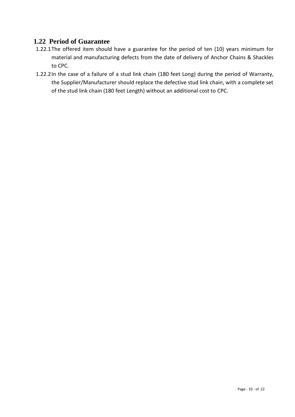## <span id="page-9-0"></span>**1.22 Period of Guarantee**

- 1.22.1The offered item should have a guarantee for the period of ten (10) years minimum for material and manufacturing defects from the date of delivery of Anchor Chains & Shackles to CPC.
- 1.22.2In the case of a failure of a stud link chain (180 feet Long) during the period of Warranty, the Supplier/Manufacturer should replace the defective stud link chain, with a complete set of the stud link chain (180 feet Length) without an additional cost to CPC.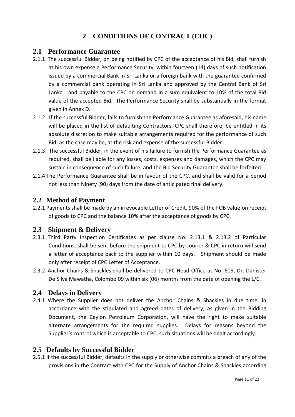# **2 CONDITIONS OF CONTRACT (COC)**

#### <span id="page-10-1"></span><span id="page-10-0"></span>**2.1 Performance Guarantee**

- 2.1.1 The successful Bidder, on being notified by CPC of the acceptance of his Bid, shall furnish at his own expense a Performance Security, within fourteen (14) days of such notification issued by a commercial Bank in Sri Lanka or a foreign bank with the guarantee confirmed by a commercial bank operating in Sri Lanka and approved by the Central Bank of Sri Lanka and payable to the CPC on demand in a sum equivalent to 10% of the total Bid value of the accepted Bid. The Performance Security shall be substantially in the format given in Annex D.
- 2.1.2 If the successful Bidder, fails to furnish the Performance Guarantee as aforesaid, his name will be placed in the list of defaulting Contractors. CPC shall therefore, be entitled in its absolute discretion to make suitable arrangements required for the performance of such Bid, as the case may be, at the risk and expense of the successful Bidder.
- 2.1.3 The successful Bidder, in the event of his failure to furnish the Performance Guarantee as required, shall be liable for any losses, costs, expenses and damages, which the CPC may sustain in consequence of such failure, and the Bid Security Guarantee shall be forfeited.
- 2.1.4 The Performance Guarantee shall be in favour of the CPC, and shall be valid for a period not less than Ninety (90) days from the date of anticipated final delivery.

#### <span id="page-10-2"></span>**2.2 Method of Payment**

2.2.1 Payments shall be made by an irrevocable Letter of Credit, 90% of the FOB value on receipt of goods to CPC and the balance 10% after the acceptance of goods by CPC.

#### <span id="page-10-3"></span>**2.3 Shipment & Delivery**

- 2.3.1 Third Party Inspection Certificates as per clause No. 2.13.1 & 2.13.2 of Particular Conditions, shall be sent before the shipment to CPC by courier & CPC in return will send a letter of acceptance back to the supplier within 10 days. Shipment should be made only after receipt of CPC Letter of Acceptance.
- 2.3.2 Anchor Chains & Shackles shall be delivered to CPC Head Office at No. 609, Dr. Danister De Silva Mawatha, Colombo 09 within six (06) months from the date of opening the L/C.

#### <span id="page-10-4"></span>**2.4 Delays in Delivery**

2.4.1 Where the Supplier does not deliver the Anchor Chains & Shackles in due time, in accordance with the stipulated and agreed dates of delivery, as given in the Bidding Document, the Ceylon Petroleum Corporation, will have the right to make suitable alternate arrangements for the required supplies. Delays for reasons beyond the Supplier's control which is acceptable to CPC, such situations will be dealt accordingly.

#### <span id="page-10-5"></span>**2.5 Defaults by Successful Bidder**

2.5.1 If the successful Bidder, defaults in the supply or otherwise commits a breach of any of the provisions in the Contract with CPC for the Supply of Anchor Chains & Shackles according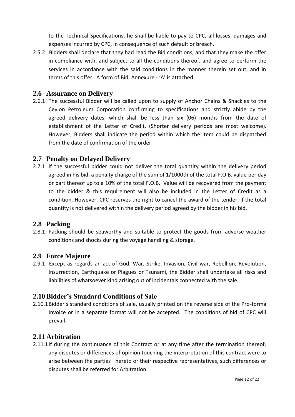to the Technical Specifications, he shall be liable to pay to CPC, all losses, damages and expenses incurred by CPC, in consequence of such default or breach.

2.5.2 Bidders shall declare that they had read the Bid conditions, and that they make the offer in compliance with, and subject to all the conditions thereof, and agree to perform the services in accordance with the said conditions in the manner therein set out, and in terms of this offer. A form of Bid, Annexure - 'A' is attached.

#### <span id="page-11-0"></span>**2.6 Assurance on Delivery**

2.6.1 The successful Bidder will be called upon to supply of Anchor Chains & Shackles to the Ceylon Petroleum Corporation confirming to specifications and strictly abide by the agreed delivery dates, which shall be less than six (06) months from the date of establishment of the Letter of Credit. (Shorter delivery periods are most welcome). However, Bidders shall indicate the period within which the item could be dispatched from the date of confirmation of the order.

## <span id="page-11-1"></span>**2.7 Penalty on Delayed Delivery**

2.7.1 If the successful bidder could not deliver the total quantity within the delivery period agreed in his bid, a penalty charge of the sum of 1/1000th of the total F.O.B. value per day or part thereof up to a 10% of the total F.O.B. Value will be recovered from the payment to the bidder & this requirement will also be included in the Letter of Credit as a condition. However, CPC reserves the right to cancel the award of the tender, if the total quantity is not delivered within the delivery period agreed by the bidder in his bid.

#### <span id="page-11-2"></span>**2.8 Packing**

2.8.1 Packing should be seaworthy and suitable to protect the goods from adverse weather conditions and shocks during the voyage handling & storage.

#### <span id="page-11-3"></span>**2.9 Force Majeure**

2.9.1 Except as regards an act of God, War, Strike, Invasion, Civil war, Rebellion, Revolution, Insurrection, Earthquake or Plagues or Tsunami, the Bidder shall undertake all risks and liabilities of whatsoever kind arising out of incidentals connected with the sale.

#### <span id="page-11-4"></span>**2.10 Bidder's Standard Conditions of Sale**

2.10.1Bidder's standard conditions of sale, usually printed on the reverse side of the Pro-forma Invoice or in a separate format will not be accepted. The conditions of bid of CPC will prevail.

#### <span id="page-11-5"></span>**2.11 Arbitration**

2.11.1If during the continuance of this Contract or at any time after the termination thereof, any disputes or differences of opinion touching the interpretation of this contract were to arise between the parties hereto or their respective representatives, such differences or disputes shall be referred for Arbitration.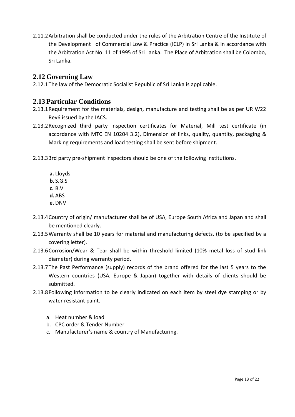2.11.2Arbitration shall be conducted under the rules of the Arbitration Centre of the Institute of the Development of Commercial Low & Practice (ICLP) in Sri Lanka & in accordance with the Arbitration Act No. 11 of 1995 of Sri Lanka. The Place of Arbitration shall be Colombo, Sri Lanka.

# <span id="page-12-0"></span>**2.12 Governing Law**

2.12.1The law of the Democratic Socialist Republic of Sri Lanka is applicable.

# <span id="page-12-1"></span>**2.13 Particular Conditions**

- 2.13.1Requirement for the materials, design, manufacture and testing shall be as per UR W22 Rev6 issued by the IACS.
- 2.13.2Recognized third party inspection certificates for Material, Mill test certificate (in accordance with MTC EN 10204 3.2), Dimension of links, quality, quantity, packaging & Marking requirements and load testing shall be sent before shipment.
- 2.13.33rd party pre-shipment inspectors should be one of the following institutions.
	- **a.** Lloyds **b.** S.G.S **c.** B.V **d.**ABS **e.** DNV
- 2.13.4Country of origin/ manufacturer shall be of USA, Europe South Africa and Japan and shall be mentioned clearly.
- 2.13.5Warranty shall be 10 years for material and manufacturing defects. (to be specified by a covering letter).
- 2.13.6Corrosion/Wear & Tear shall be within threshold limited (10% metal loss of stud link diameter) during warranty period.
- 2.13.7The Past Performance (supply) records of the brand offered for the last 5 years to the Western countries (USA, Europe & Japan) together with details of clients should be submitted.
- 2.13.8Following information to be clearly indicated on each item by steel dye stamping or by water resistant paint.
	- a. Heat number & load
	- b. CPC order & Tender Number
	- c. Manufacturer's name & country of Manufacturing.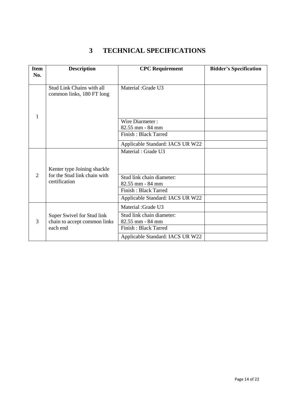# <span id="page-13-0"></span>**3 TECHNICAL SPECIFICATIONS**

| <b>Item</b>                 | <b>Description</b>                                         | <b>CPC</b> Requirement                           | <b>Bidder's Specification</b> |  |  |  |
|-----------------------------|------------------------------------------------------------|--------------------------------------------------|-------------------------------|--|--|--|
| No.                         |                                                            |                                                  |                               |  |  |  |
|                             | Stud Link Chains with all<br>common links, 180 FT long     | <b>Material</b> : Grade U3                       |                               |  |  |  |
|                             |                                                            | Wire Diarmeter:                                  |                               |  |  |  |
|                             |                                                            | 82.55 mm - 84 mm                                 |                               |  |  |  |
|                             |                                                            | <b>Finish: Black Tarred</b>                      |                               |  |  |  |
|                             |                                                            | Applicable Standard: IACS UR W22                 |                               |  |  |  |
|                             | Kenter type Joining shackle                                | Material: Grade U3                               |                               |  |  |  |
| $\mathcal{D}_{\mathcal{L}}$ | for the Stud link chain with<br>certification              | Stud link chain diameter:<br>$82.55$ mm $-84$ mm |                               |  |  |  |
|                             |                                                            | <b>Finish: Black Tarred</b>                      |                               |  |  |  |
|                             |                                                            | Applicable Standard: IACS UR W22                 |                               |  |  |  |
|                             |                                                            | <b>Material</b> : Grade U3                       |                               |  |  |  |
| 3                           | Super Swivel for Stud link<br>chain to accept common links | Stud link chain diameter:<br>82.55 mm - 84 mm    |                               |  |  |  |
|                             | each end                                                   | <b>Finish: Black Tarred</b>                      |                               |  |  |  |
|                             |                                                            | Applicable Standard: IACS UR W22                 |                               |  |  |  |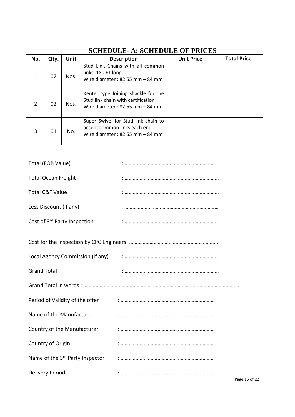<span id="page-14-0"></span>

| No.           | Qty. | <b>Unit</b>                                                                                                      | <b>Description</b>                                                                                              | <b>Unit Price</b> | <b>Total Price</b> |
|---------------|------|------------------------------------------------------------------------------------------------------------------|-----------------------------------------------------------------------------------------------------------------|-------------------|--------------------|
| $\mathbf{1}$  | 02   | Nos.                                                                                                             | Stud Link Chains with all common<br>links, 180 FT long<br>Wire diameter: $82.55$ mm $-84$ mm                    |                   |                    |
| $\mathcal{P}$ | 02   | Nos.                                                                                                             | Kenter type Joining shackle for the<br>Stud link chain with certification<br>Wire diameter: $82.55$ mm $-84$ mm |                   |                    |
| 3             | 01   | Super Swivel for Stud link chain to<br>accept common links each end<br>No.<br>Wire diameter: $82.55$ mm $-84$ mm |                                                                                                                 |                   |                    |

# **SCHEDULE- A: SCHEDULE OF PRICES**

| Total (FOB Value)                        |  |
|------------------------------------------|--|
| <b>Total Ocean Freight</b>               |  |
| <b>Total C&amp;F Value</b>               |  |
| Less Discount (if any)                   |  |
| Cost of 3 <sup>rd</sup> Party Inspection |  |
|                                          |  |
|                                          |  |
| <b>Grand Total</b>                       |  |
|                                          |  |
| Period of Validity of the offer          |  |
| Name of the Manufacturer                 |  |
| Country of the Manufacturer              |  |
| Country of Origin                        |  |
| Name of the 3rd Party Inspector          |  |
| <b>Delivery Period</b>                   |  |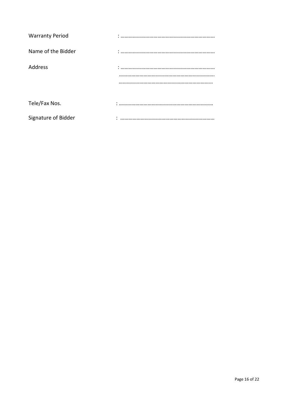| <b>Warranty Period</b> |  |
|------------------------|--|
| Name of the Bidder     |  |
| Address                |  |
|                        |  |
|                        |  |
|                        |  |
| Tele/Fax Nos.          |  |
| Signature of Bidder    |  |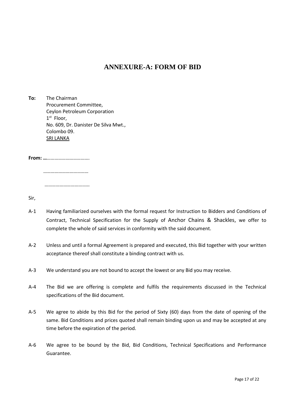#### **ANNEXURE-A: FORM OF BID**

<span id="page-16-0"></span>**To:** The Chairman Procurement Committee, Ceylon Petroleum Corporation 1 st Floor, No. 609, Dr. Danister De Silva Mwt., Colombo 09. SRI LANKA

**From: …**…………………………….

 ……………………………… ………………………………

Sir,

- A-1 Having familiarized ourselves with the formal request for Instruction to Bidders and Conditions of Contract, Technical Specification for the Supply of Anchor Chains & Shackles, we offer to complete the whole of said services in conformity with the said document.
- A-2 Unless and until a formal Agreement is prepared and executed, this Bid together with your written acceptance thereof shall constitute a binding contract with us.
- A-3 We understand you are not bound to accept the lowest or any Bid you may receive.
- A-4 The Bid we are offering is complete and fulfils the requirements discussed in the Technical specifications of the Bid document.
- A-5 We agree to abide by this Bid for the period of Sixty (60) days from the date of opening of the same. Bid Conditions and prices quoted shall remain binding upon us and may be accepted at any time before the expiration of the period.
- A-6 We agree to be bound by the Bid, Bid Conditions, Technical Specifications and Performance Guarantee.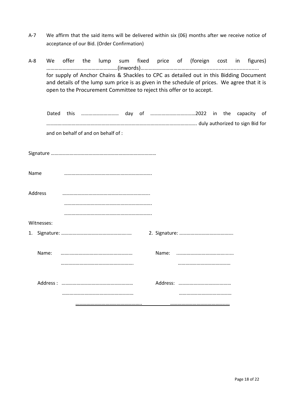- A-7 We affirm that the said items will be delivered within six (06) months after we receive notice of acceptance of our Bid. (Order Confirmation)
- A-8 We offer the lump sum fixed price of (foreign cost in figures) …………………………………………….(inwords)………………………………………...................................... for supply of Anchor Chains & Shackles to CPC as detailed out in this Bidding Document and details of the lump sum price is as given in the schedule of prices. We agree that it is open to the Procurement Committee to reject this offer or to accept.

<span id="page-17-0"></span>

|      |            |  | and on behalf of and on behalf of : |  |  |  |  |  |  |
|------|------------|--|-------------------------------------|--|--|--|--|--|--|
|      |            |  |                                     |  |  |  |  |  |  |
|      |            |  |                                     |  |  |  |  |  |  |
|      |            |  |                                     |  |  |  |  |  |  |
| Name |            |  |                                     |  |  |  |  |  |  |
|      |            |  |                                     |  |  |  |  |  |  |
|      | Address    |  |                                     |  |  |  |  |  |  |
|      |            |  |                                     |  |  |  |  |  |  |
|      |            |  |                                     |  |  |  |  |  |  |
|      | Witnesses: |  |                                     |  |  |  |  |  |  |
|      |            |  |                                     |  |  |  |  |  |  |
|      |            |  |                                     |  |  |  |  |  |  |
|      | Name:      |  |                                     |  |  |  |  |  |  |
|      |            |  |                                     |  |  |  |  |  |  |
|      |            |  |                                     |  |  |  |  |  |  |
|      |            |  |                                     |  |  |  |  |  |  |
|      |            |  |                                     |  |  |  |  |  |  |
|      |            |  |                                     |  |  |  |  |  |  |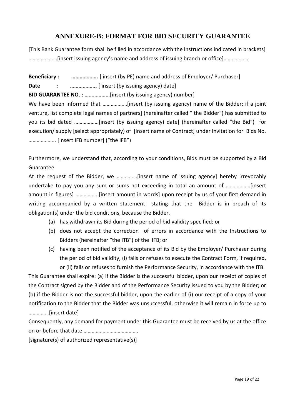# **ANNEXURE-B: FORMAT FOR BID SECURITY GUARANTEE**

[This Bank Guarantee form shall be filled in accordance with the instructions indicated in brackets] …………………[insert issuing agency's name and address of issuing branch or office]………………

**Beneficiary : ……………….** [ insert (by PE) name and address of Employer/ Purchaser] **Date : ……………….** [ insert (by issuing agency) date] **BID GUARANTEE NO. : ………………**[insert (by issuing agency) number] We have been informed that ........................[insert (by issuing agency) name of the Bidder; if a joint venture, list complete legal names of partners] (hereinafter called " the Bidder") has submitted to you its bid dated ………………[insert (by issuing agency) date] (hereinafter called "the Bid") for execution/ supply [select appropriately) of [insert name of Contract] under Invitation for Bids No. ……………….. [Insert IFB number] ("the IFB")

Furthermore, we understand that, according to your conditions, Bids must be supported by a Bid Guarantee.

At the request of the Bidder, we ……………[insert name of issuing agency] hereby irrevocably undertake to pay you any sum or sums not exceeding in total an amount of ………………[insert amount in figures] ……………..[insert amount in words] upon receipt by us of your first demand in writing accompanied by a written statement stating that the Bidder is in breach of its obligation(s) under the bid conditions, because the Bidder.

- (a) has withdrawn its Bid during the period of bid validity specified; or
- (b) does not accept the correction of errors in accordance with the Instructions to Bidders (hereinafter "the ITB") of the IFB; or
- (c) having been notified of the acceptance of its Bid by the Employer/ Purchaser during the period of bid validity, (i) fails or refuses to execute the Contract Form, if required, or (ii) fails or refuses to furnish the Performance Security, in accordance with the ITB.

This Guarantee shall expire: (a) if the Bidder is the successful bidder, upon our receipt of copies of the Contract signed by the Bidder and of the Performance Security issued to you by the Bidder; or (b) if the Bidder is not the successful bidder, upon the earlier of (i) our receipt of a copy of your notification to the Bidder that the Bidder was unsuccessful, otherwise it will remain in force up to ……………[insert date]

Consequently, any demand for payment under this Guarantee must be received by us at the office on or before that date ………………………………….

[signature(s) of authorized representative(s)]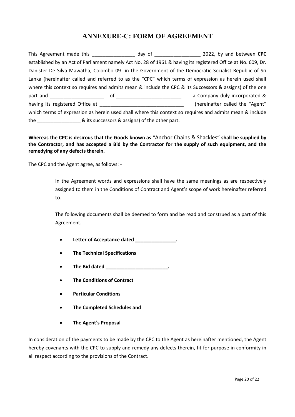# **ANNEXURE-C: FORM OF AGREEMENT**

<span id="page-19-0"></span>This Agreement made this **the contract of the contract of the contract of the contract of the contract of the contract of the contract of the contract of the contract of the contract of the contract of the contract of the** established by an Act of Parliament namely Act No. 28 of 1961 & having its registered Office at No. 609, Dr. Danister De Silva Mawatha, Colombo 09 in the Government of the Democratic Socialist Republic of Sri Lanka (hereinafter called and referred to as the "CPC" which terms of expression as herein used shall where this context so requires and admits mean & include the CPC & its Successors & assigns) of the one part and \_\_\_\_\_\_\_\_\_\_\_\_\_\_\_\_\_\_\_\_ of \_\_\_\_\_\_\_\_\_\_\_\_\_\_\_\_\_\_\_\_\_\_\_\_ a Company duly incorporated & having its registered Office at \_\_\_\_\_\_\_\_\_\_\_\_\_\_\_\_\_\_\_\_\_\_\_\_\_\_\_\_\_\_\_\_\_\_(hereinafter called the "Agent" which terms of expression as herein used shall where this context so requires and admits mean & include the  $\alpha$  its successors & assigns) of the other part.

**Whereas the CPC is desirous that the Goods known as "**Anchor Chains & Shackles" **shall be supplied by the Contractor, and has accepted a Bid by the Contractor for the supply of such equipment, and the remedying of any defects therein.**

The CPC and the Agent agree, as follows: -

In the Agreement words and expressions shall have the same meanings as are respectively assigned to them in the Conditions of Contract and Agent's scope of work hereinafter referred to.

The following documents shall be deemed to form and be read and construed as a part of this Agreement.

- **Letter of Acceptance dated \_\_\_\_\_\_\_\_\_\_\_\_\_\_\_.**
- **The Technical Specifications**
- **The Bid dated \_\_\_\_\_\_\_\_\_\_\_\_\_\_\_\_\_\_\_\_\_\_\_.**
- **The Conditions of Contract**
- **Particular Conditions**
- **The Completed Schedules and**
- **The Agent's Proposal**

In consideration of the payments to be made by the CPC to the Agent as hereinafter mentioned, the Agent hereby covenants with the CPC to supply and remedy any defects therein, fit for purpose in conformity in all respect according to the provisions of the Contract.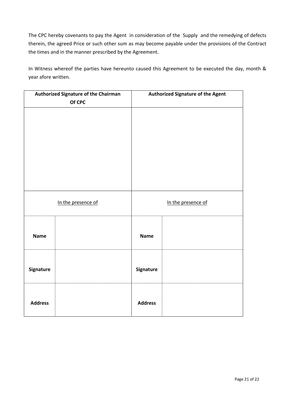The CPC hereby covenants to pay the Agent in consideration of the Supply and the remedying of defects therein, the agreed Price or such other sum as may become payable under the provisions of the Contract the times and in the manner prescribed by the Agreement.

In Witness whereof the parties have hereunto caused this Agreement to be executed the day, month & year afore written.

|                | <b>Authorized Signature of the Chairman</b><br>Of CPC |                | <b>Authorized Signature of the Agent</b> |
|----------------|-------------------------------------------------------|----------------|------------------------------------------|
|                |                                                       |                |                                          |
|                |                                                       |                |                                          |
|                |                                                       |                |                                          |
|                |                                                       |                |                                          |
|                |                                                       |                |                                          |
|                | In the presence of                                    |                | In the presence of                       |
| <b>Name</b>    |                                                       | <b>Name</b>    |                                          |
| Signature      |                                                       | Signature      |                                          |
| <b>Address</b> |                                                       | <b>Address</b> |                                          |